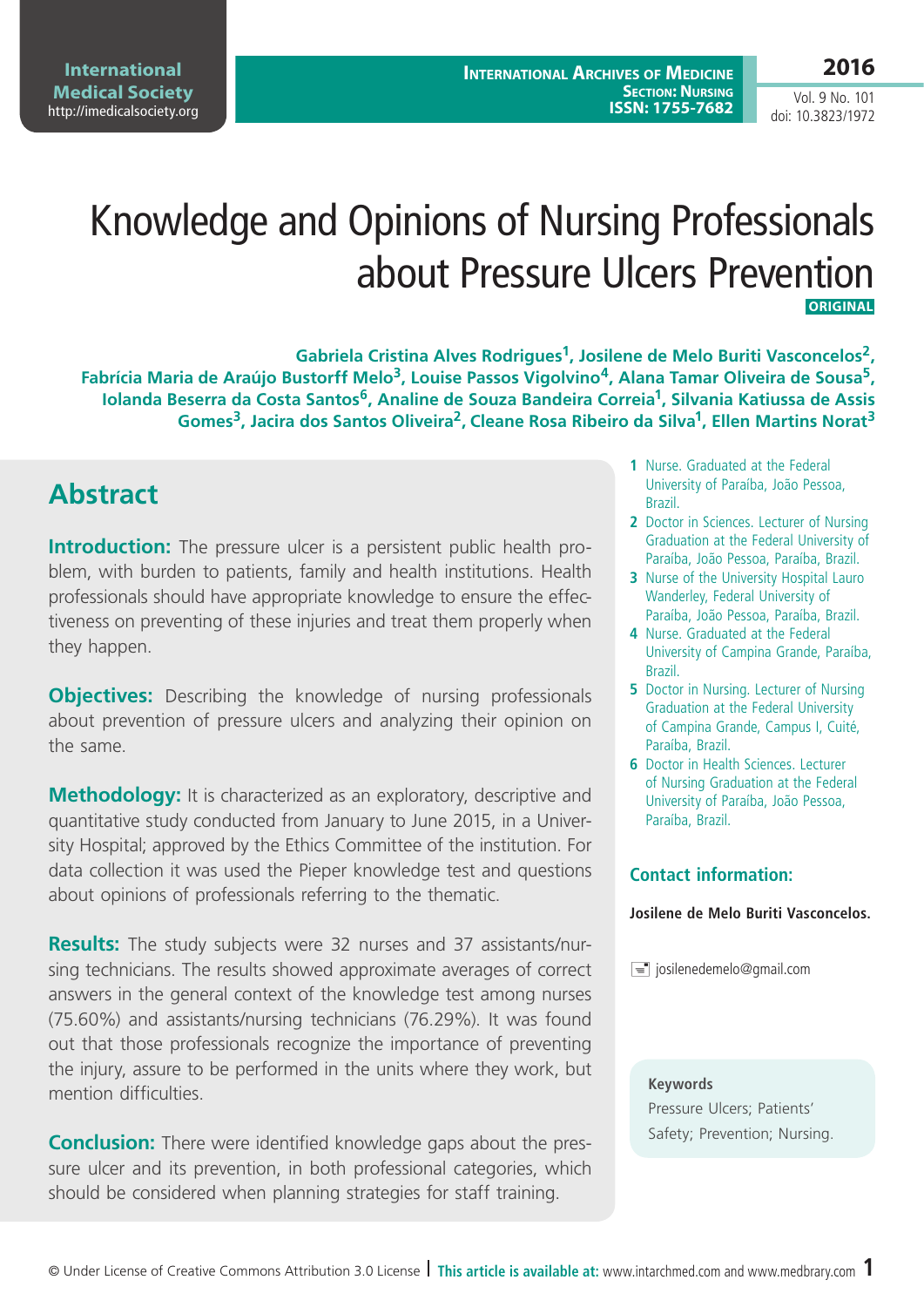#### **2016**

Vol. 9 No. 101 doi: 10.3823/1972

# Knowledge and Opinions of Nursing Professionals about Pressure Ulcers Prevention  **Original**

Gabriela Cristina Alves Rodrigues<sup>1</sup>, Josilene de Melo Buriti Vasconcelos<sup>2</sup>, **Fabrícia Maria de Araújo Bustorff Melo3, Louise Passos Vigolvino4, Alana Tamar Oliveira de Sousa5, Iolanda Beserra da Costa Santos6, Analine de Souza Bandeira Correia1, Silvania Katiussa de Assis Gomes3, Jacira dos Santos Oliveira2, Cleane Rosa Ribeiro da Silva1, Ellen Martins Norat3**

## **Abstract**

**Introduction:** The pressure ulcer is a persistent public health problem, with burden to patients, family and health institutions. Health professionals should have appropriate knowledge to ensure the effectiveness on preventing of these injuries and treat them properly when they happen.

**Objectives:** Describing the knowledge of nursing professionals about prevention of pressure ulcers and analyzing their opinion on the same.

**Methodology:** It is characterized as an exploratory, descriptive and quantitative study conducted from January to June 2015, in a University Hospital; approved by the Ethics Committee of the institution. For data collection it was used the Pieper knowledge test and questions about opinions of professionals referring to the thematic.

**Results:** The study subjects were 32 nurses and 37 assistants/nursing technicians. The results showed approximate averages of correct answers in the general context of the knowledge test among nurses (75.60%) and assistants/nursing technicians (76.29%). It was found out that those professionals recognize the importance of preventing the injury, assure to be performed in the units where they work, but mention difficulties.

**Conclusion:** There were identified knowledge gaps about the pressure ulcer and its prevention, in both professional categories, which should be considered when planning strategies for staff training.

- **1** Nurse. Graduated at the Federal University of Paraíba, João Pessoa, Brazil.
- **2** Doctor in Sciences. Lecturer of Nursing Graduation at the Federal University of Paraíba, João Pessoa, Paraíba, Brazil.
- **3** Nurse of the University Hospital Lauro Wanderley, Federal University of Paraíba, João Pessoa, Paraíba, Brazil.
- **4** Nurse. Graduated at the Federal University of Campina Grande, Paraíba, Brazil.
- **5** Doctor in Nursing. Lecturer of Nursing Graduation at the Federal University of Campina Grande, Campus I, Cuité, Paraíba, Brazil.
- **6** Doctor in Health Sciences. Lecturer of Nursing Graduation at the Federal University of Paraíba, João Pessoa, Paraíba, Brazil.

#### **Contact information:**

#### **Josilene de Melo Buriti Vasconcelos.**

 $\equiv$  josilenedemelo@gmail.com

#### **Keywords**

Pressure Ulcers; Patients' Safety; Prevention; Nursing.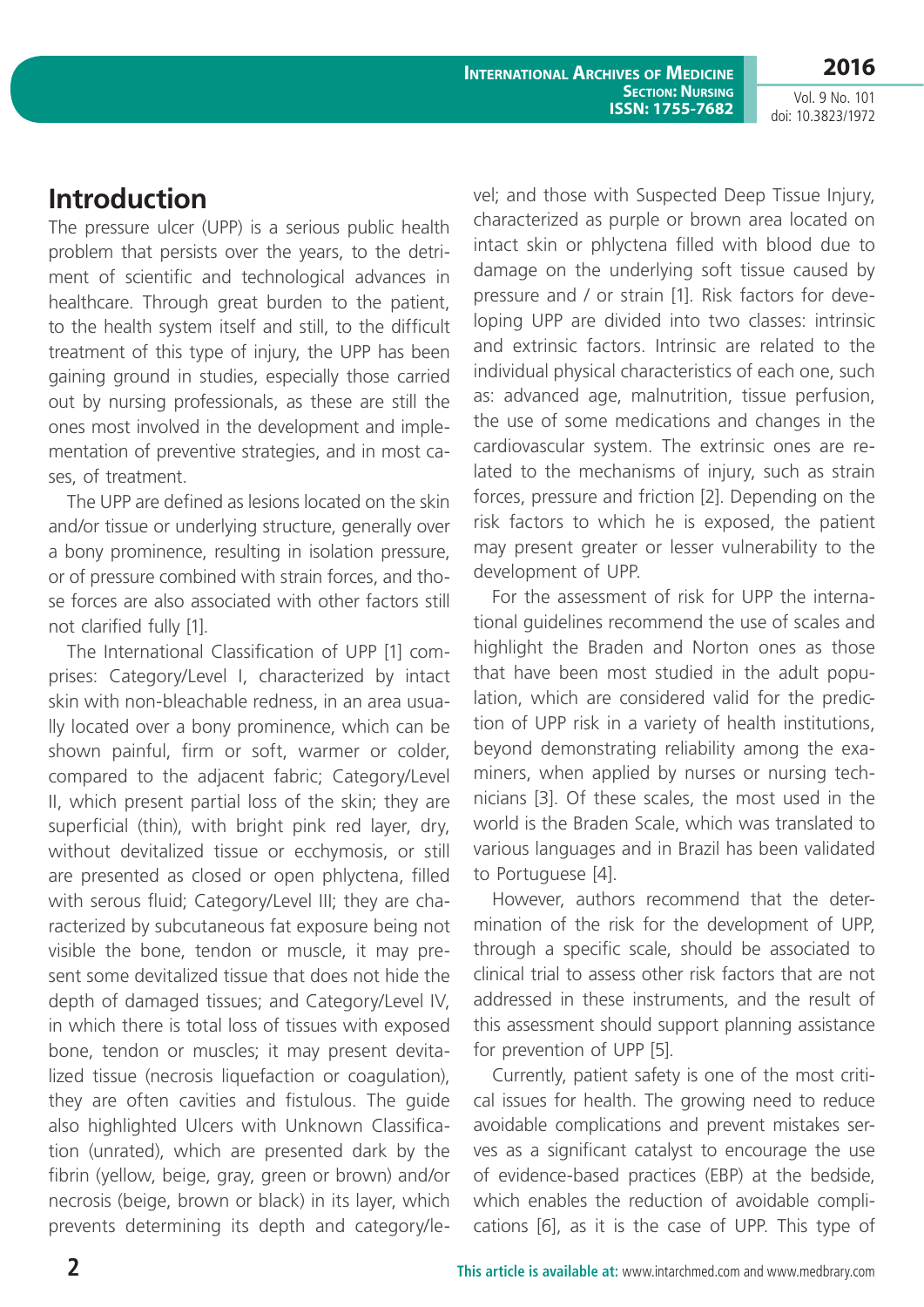Vol. 9 No. 101 doi: 10.3823/1972

## **Introduction**

The pressure ulcer (UPP) is a serious public health problem that persists over the years, to the detriment of scientific and technological advances in healthcare. Through great burden to the patient, to the health system itself and still, to the difficult treatment of this type of injury, the UPP has been gaining ground in studies, especially those carried out by nursing professionals, as these are still the ones most involved in the development and implementation of preventive strategies, and in most cases, of treatment.

The UPP are defined as lesions located on the skin and/or tissue or underlying structure, generally over a bony prominence, resulting in isolation pressure, or of pressure combined with strain forces, and those forces are also associated with other factors still not clarified fully [1].

The International Classification of UPP [1] comprises: Category/Level I, characterized by intact skin with non-bleachable redness, in an area usually located over a bony prominence, which can be shown painful, firm or soft, warmer or colder, compared to the adjacent fabric; Category/Level II, which present partial loss of the skin; they are superficial (thin), with bright pink red layer, dry, without devitalized tissue or ecchymosis, or still are presented as closed or open phlyctena, filled with serous fluid; Category/Level III; they are characterized by subcutaneous fat exposure being not visible the bone, tendon or muscle, it may present some devitalized tissue that does not hide the depth of damaged tissues; and Category/Level IV, in which there is total loss of tissues with exposed bone, tendon or muscles; it may present devitalized tissue (necrosis liquefaction or coagulation), they are often cavities and fistulous. The guide also highlighted Ulcers with Unknown Classification (unrated), which are presented dark by the fibrin (yellow, beige, gray, green or brown) and/or necrosis (beige, brown or black) in its layer, which prevents determining its depth and category/level; and those with Suspected Deep Tissue Injury, characterized as purple or brown area located on intact skin or phlyctena filled with blood due to damage on the underlying soft tissue caused by pressure and / or strain [1]. Risk factors for developing UPP are divided into two classes: intrinsic and extrinsic factors. Intrinsic are related to the individual physical characteristics of each one, such as: advanced age, malnutrition, tissue perfusion, the use of some medications and changes in the cardiovascular system. The extrinsic ones are related to the mechanisms of injury, such as strain forces, pressure and friction [2]. Depending on the risk factors to which he is exposed, the patient may present greater or lesser vulnerability to the development of UPP.

For the assessment of risk for UPP the international guidelines recommend the use of scales and highlight the Braden and Norton ones as those that have been most studied in the adult population, which are considered valid for the prediction of UPP risk in a variety of health institutions, beyond demonstrating reliability among the examiners, when applied by nurses or nursing technicians [3]. Of these scales, the most used in the world is the Braden Scale, which was translated to various languages and in Brazil has been validated to Portuguese [4].

However, authors recommend that the determination of the risk for the development of UPP, through a specific scale, should be associated to clinical trial to assess other risk factors that are not addressed in these instruments, and the result of this assessment should support planning assistance for prevention of UPP [5].

Currently, patient safety is one of the most critical issues for health. The growing need to reduce avoidable complications and prevent mistakes serves as a significant catalyst to encourage the use of evidence-based practices (EBP) at the bedside, which enables the reduction of avoidable complications [6], as it is the case of UPP. This type of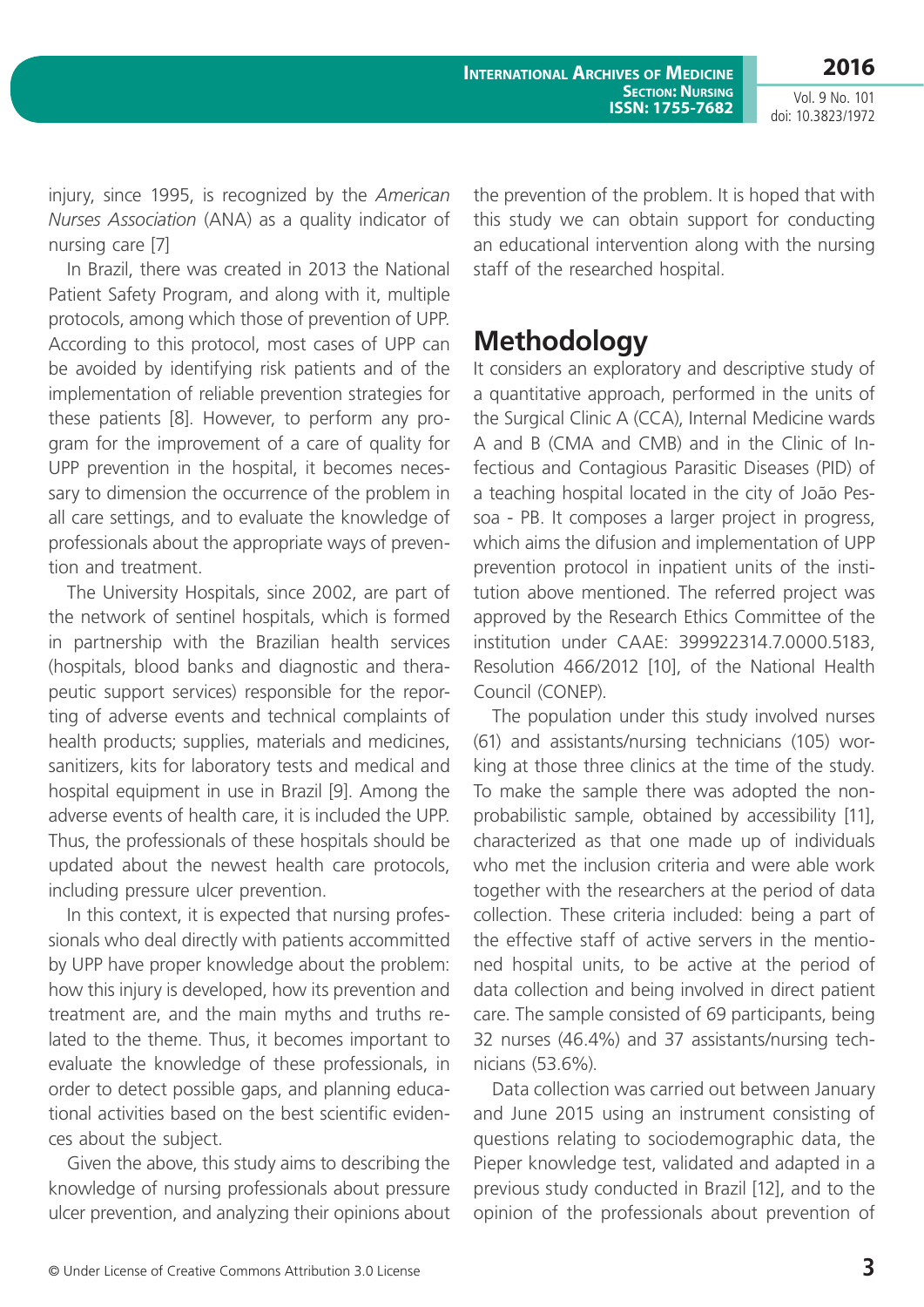Vol. 9 No. 101 doi: 10.3823/1972

injury, since 1995, is recognized by the *American Nurses Association* (ANA) as a quality indicator of nursing care [7]

In Brazil, there was created in 2013 the National Patient Safety Program, and along with it, multiple protocols, among which those of prevention of UPP. According to this protocol, most cases of UPP can be avoided by identifying risk patients and of the implementation of reliable prevention strategies for these patients [8]. However, to perform any program for the improvement of a care of quality for UPP prevention in the hospital, it becomes necessary to dimension the occurrence of the problem in all care settings, and to evaluate the knowledge of professionals about the appropriate ways of prevention and treatment.

The University Hospitals, since 2002, are part of the network of sentinel hospitals, which is formed in partnership with the Brazilian health services (hospitals, blood banks and diagnostic and therapeutic support services) responsible for the reporting of adverse events and technical complaints of health products; supplies, materials and medicines, sanitizers, kits for laboratory tests and medical and hospital equipment in use in Brazil [9]. Among the adverse events of health care, it is included the UPP. Thus, the professionals of these hospitals should be updated about the newest health care protocols, including pressure ulcer prevention.

In this context, it is expected that nursing professionals who deal directly with patients accommitted by UPP have proper knowledge about the problem: how this injury is developed, how its prevention and treatment are, and the main myths and truths related to the theme. Thus, it becomes important to evaluate the knowledge of these professionals, in order to detect possible gaps, and planning educational activities based on the best scientific evidences about the subject.

Given the above, this study aims to describing the knowledge of nursing professionals about pressure ulcer prevention, and analyzing their opinions about the prevention of the problem. It is hoped that with this study we can obtain support for conducting an educational intervention along with the nursing staff of the researched hospital.

## **Methodology**

It considers an exploratory and descriptive study of a quantitative approach, performed in the units of the Surgical Clinic A (CCA), Internal Medicine wards A and B (CMA and CMB) and in the Clinic of Infectious and Contagious Parasitic Diseases (PID) of a teaching hospital located in the city of João Pessoa - PB. It composes a larger project in progress, which aims the difusion and implementation of UPP prevention protocol in inpatient units of the institution above mentioned. The referred project was approved by the Research Ethics Committee of the institution under CAAE: 399922314.7.0000.5183, Resolution 466/2012 [10], of the National Health Council (CONEP).

The population under this study involved nurses (61) and assistants/nursing technicians (105) working at those three clinics at the time of the study. To make the sample there was adopted the nonprobabilistic sample, obtained by accessibility [11], characterized as that one made up of individuals who met the inclusion criteria and were able work together with the researchers at the period of data collection. These criteria included: being a part of the effective staff of active servers in the mentioned hospital units, to be active at the period of data collection and being involved in direct patient care. The sample consisted of 69 participants, being 32 nurses (46.4%) and 37 assistants/nursing technicians (53.6%).

Data collection was carried out between January and June 2015 using an instrument consisting of questions relating to sociodemographic data, the Pieper knowledge test, validated and adapted in a previous study conducted in Brazil [12], and to the opinion of the professionals about prevention of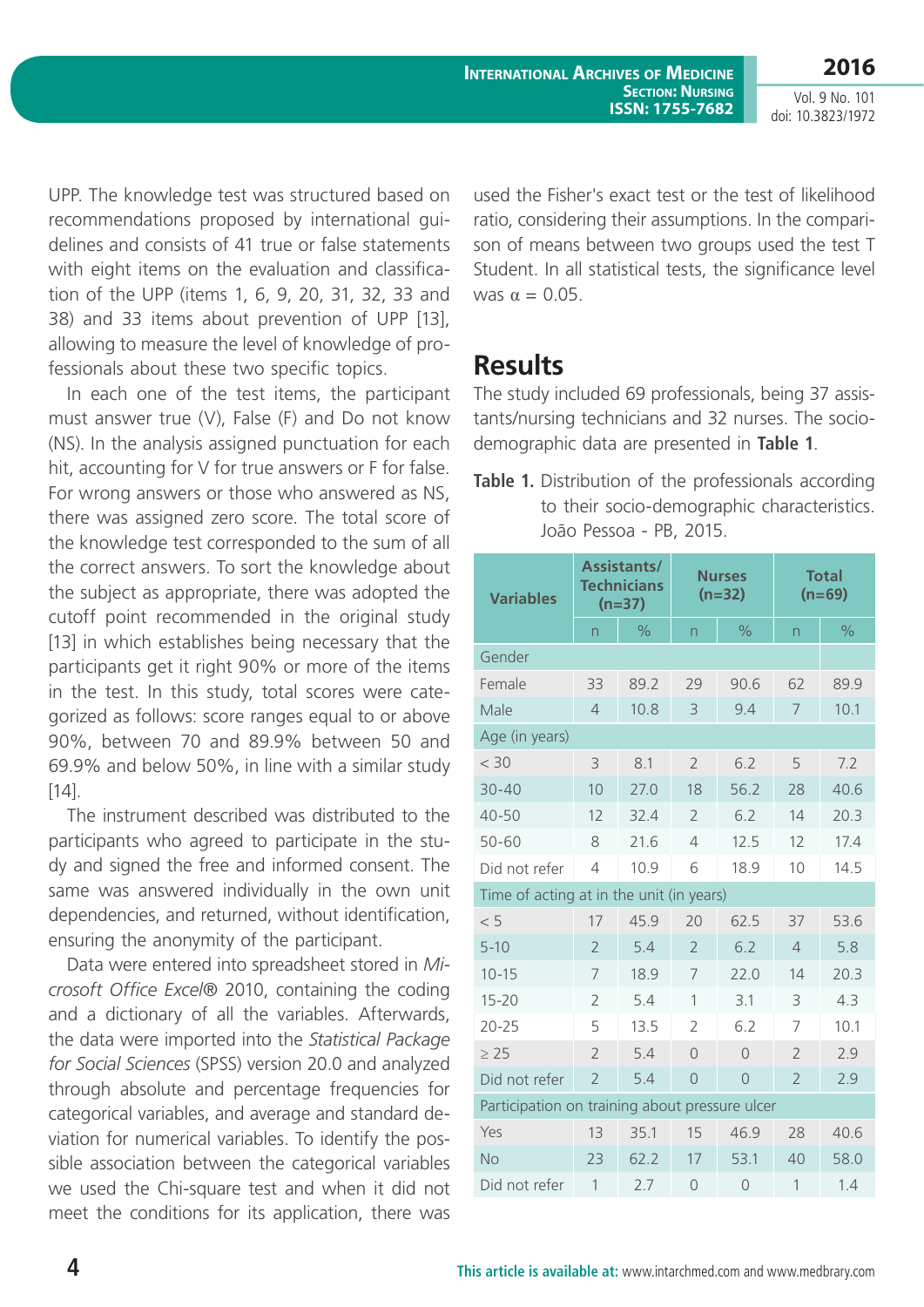Vol. 9 No. 101 doi: 10.3823/1972

UPP. The knowledge test was structured based on recommendations proposed by international guidelines and consists of 41 true or false statements with eight items on the evaluation and classification of the UPP (items 1, 6, 9, 20, 31, 32, 33 and 38) and 33 items about prevention of UPP [13], allowing to measure the level of knowledge of professionals about these two specific topics.

In each one of the test items, the participant must answer true (V), False (F) and Do not know (NS). In the analysis assigned punctuation for each hit, accounting for V for true answers or F for false. For wrong answers or those who answered as NS, there was assigned zero score. The total score of the knowledge test corresponded to the sum of all the correct answers. To sort the knowledge about the subject as appropriate, there was adopted the cutoff point recommended in the original study [13] in which establishes being necessary that the participants get it right 90% or more of the items in the test. In this study, total scores were categorized as follows: score ranges equal to or above 90%, between 70 and 89.9% between 50 and 69.9% and below 50%, in line with a similar study  $[14]$ .

The instrument described was distributed to the participants who agreed to participate in the study and signed the free and informed consent. The same was answered individually in the own unit dependencies, and returned, without identification, ensuring the anonymity of the participant.

Data were entered into spreadsheet stored in *Microsoft Office Excel*® 2010, containing the coding and a dictionary of all the variables. Afterwards, the data were imported into the *Statistical Package for Social Sciences* (SPSS) version 20.0 and analyzed through absolute and percentage frequencies for categorical variables, and average and standard deviation for numerical variables. To identify the possible association between the categorical variables we used the Chi-square test and when it did not meet the conditions for its application, there was used the Fisher's exact test or the test of likelihood ratio, considering their assumptions. In the comparison of means between two groups used the test T Student. In all statistical tests, the significance level was  $\alpha = 0.05$ .

#### **Results**

The study included 69 professionals, being 37 assistants/nursing technicians and 32 nurses. The sociodemographic data are presented in **Table 1**.

**Table 1.** Distribution of the professionals according to their socio-demographic characteristics. João Pessoa - PB, 2015.

| <b>Variables</b>                               |                | <b>Assistants/</b><br><b>Technicians</b><br>$(n=37)$ |                          | <b>Nurses</b><br>$(n=32)$ | <b>Total</b><br>$(n=69)$ |               |  |  |
|------------------------------------------------|----------------|------------------------------------------------------|--------------------------|---------------------------|--------------------------|---------------|--|--|
|                                                | n              | $\frac{1}{2}$                                        | n                        | $\frac{1}{2}$             | $\overline{n}$           | $\frac{1}{2}$ |  |  |
| Gender                                         |                |                                                      |                          |                           |                          |               |  |  |
| Female                                         | 33             | 89.2                                                 | 29                       | 90.6                      | 62                       | 89.9          |  |  |
| Male                                           | $\overline{4}$ | 10.8                                                 | 3                        | 9.4                       | 7                        | 10.1          |  |  |
| Age (in years)                                 |                |                                                      |                          |                           |                          |               |  |  |
| < 30                                           | 3              | 8.1                                                  | $\overline{2}$           | 6.2                       | 5                        | 7.2           |  |  |
| $30 - 40$                                      | 10             | 27.0                                                 | 18                       | 56.2                      | 28                       | 40.6          |  |  |
| $40 - 50$                                      | 12             | 32.4                                                 | $\overline{2}$           | 6.2                       | 14                       | 20.3          |  |  |
| $50 - 60$                                      | 8              | 21.6                                                 | $\overline{4}$           | 12.5                      | 12                       | 17.4          |  |  |
| Did not refer                                  | $\overline{4}$ | 10.9                                                 | 6                        | 18.9                      | 10                       | 14.5          |  |  |
| Time of acting at in the unit (in years)       |                |                                                      |                          |                           |                          |               |  |  |
| < 5                                            | 17             | 45.9                                                 | 20                       | 62.5                      | 37                       | 53.6          |  |  |
| $5 - 10$                                       | $\overline{2}$ | 5.4                                                  | $\overline{\phantom{a}}$ | 6.2                       | $\overline{4}$           | 5.8           |  |  |
| $10 - 15$                                      | 7              | 18.9                                                 | 7                        | 72.0                      | 14                       | 20.3          |  |  |
| $15 - 20$                                      | $\overline{2}$ | 5.4                                                  | 1                        | 3.1                       | 3                        | 4.3           |  |  |
| $20 - 25$                                      | 5              | 13.5                                                 | $\mathfrak{D}$           | 6.2                       | 7                        | 10.1          |  |  |
| $\geq 25$                                      | $\overline{2}$ | 5.4                                                  | $\bigcap$                | $\bigcap$                 | $\overline{2}$           | 2.9           |  |  |
| Did not refer                                  | $\overline{2}$ | 5.4                                                  | $\overline{0}$           | $\overline{0}$            | $\overline{2}$           | 2.9           |  |  |
| Participation on training about pressure ulcer |                |                                                      |                          |                           |                          |               |  |  |
| Yes                                            | 13             | 35.1                                                 | 15                       | 46.9                      | 28                       | 40.6          |  |  |
| <b>No</b>                                      | 23             | 62.2                                                 | 17                       | 53.1                      | 40                       | 58.0          |  |  |
| Did not refer                                  | $\mathbf 1$    | 2.7                                                  | $\circ$                  | $\circ$                   | 1                        | 1.4           |  |  |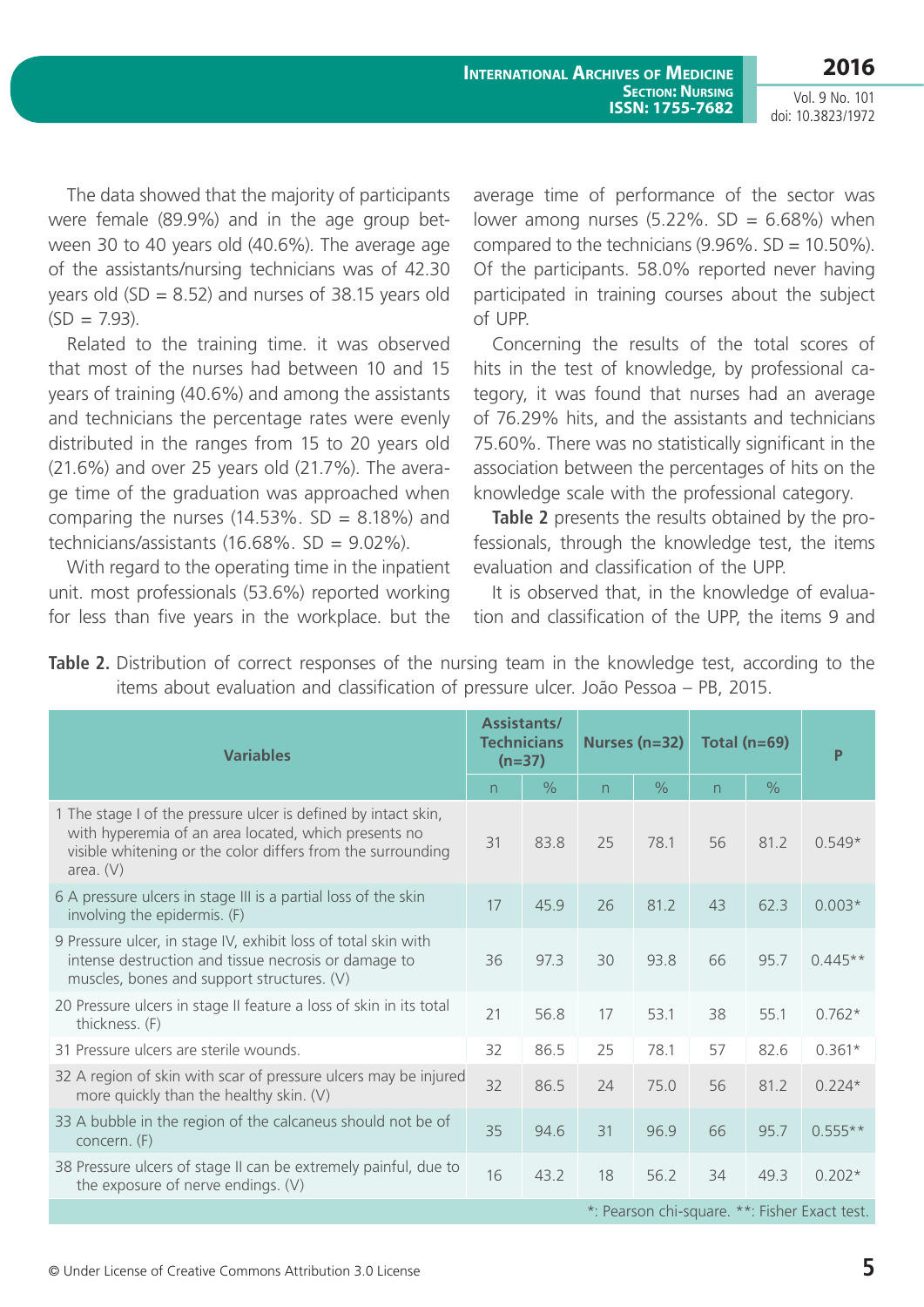Vol. 9 No. 101 doi: 10.3823/1972

The data showed that the majority of participants were female (89.9%) and in the age group between 30 to 40 years old (40.6%). The average age of the assistants/nursing technicians was of 42.30 years old (SD = 8.52) and nurses of 38.15 years old  $(SD = 7.93)$ .

Related to the training time. it was observed that most of the nurses had between 10 and 15 years of training (40.6%) and among the assistants and technicians the percentage rates were evenly distributed in the ranges from 15 to 20 years old (21.6%) and over 25 years old (21.7%). The average time of the graduation was approached when comparing the nurses  $(14.53\% \cdot SD = 8.18\%)$  and technicians/assistants  $(16.68\% \cdot SD = 9.02\%)$ .

With regard to the operating time in the inpatient unit. most professionals (53.6%) reported working for less than five years in the workplace. but the average time of performance of the sector was lower among nurses  $(5.22\% \cdot SD = 6.68\%)$  when compared to the technicians  $(9.96\% \cdot SD = 10.50\%).$ Of the participants. 58.0% reported never having participated in training courses about the subject of UPP.

Concerning the results of the total scores of hits in the test of knowledge, by professional category, it was found that nurses had an average of 76.29% hits, and the assistants and technicians 75.60%. There was no statistically significant in the association between the percentages of hits on the knowledge scale with the professional category.

**Table 2** presents the results obtained by the professionals, through the knowledge test, the items evaluation and classification of the UPP.

It is observed that, in the knowledge of evaluation and classification of the UPP, the items 9 and

| <b>Table 2.</b> Distribution of correct responses of the nursing team in the knowledge test, according to the |  |  |  |  |  |  |
|---------------------------------------------------------------------------------------------------------------|--|--|--|--|--|--|
| items about evaluation and classification of pressure ulcer. João Pessoa – PB, 2015.                          |  |  |  |  |  |  |

| <b>Variables</b>                                                                                                                                                                                     |    | <b>Assistants/</b><br><b>Technicians</b><br>$(n=37)$ |                | Nurses $(n=32)$ | Total ( $n=69$ ) | P             |           |  |  |  |
|------------------------------------------------------------------------------------------------------------------------------------------------------------------------------------------------------|----|------------------------------------------------------|----------------|-----------------|------------------|---------------|-----------|--|--|--|
|                                                                                                                                                                                                      | n  | $\frac{0}{0}$                                        | $\overline{n}$ | $\frac{0}{0}$   | n.               | $\frac{0}{0}$ |           |  |  |  |
| 1 The stage I of the pressure ulcer is defined by intact skin,<br>with hyperemia of an area located, which presents no<br>visible whitening or the color differs from the surrounding<br>area. $(V)$ | 31 | 83.8                                                 | 25             | 78.1            | 56               | 81.2          | $0.549*$  |  |  |  |
| 6 A pressure ulcers in stage III is a partial loss of the skin<br>involving the epidermis. (F)                                                                                                       | 17 | 45.9                                                 | 26             | 81.2            | 43               | 62.3          | $0.003*$  |  |  |  |
| 9 Pressure ulcer, in stage IV, exhibit loss of total skin with<br>intense destruction and tissue necrosis or damage to<br>muscles, bones and support structures. (V)                                 | 36 | 97.3                                                 | 30             | 93.8            | 66               | 95.7          | $0.445**$ |  |  |  |
| 20 Pressure ulcers in stage II feature a loss of skin in its total<br>thickness. (F)                                                                                                                 | 21 | 56.8                                                 | 17             | 53.1            | 38               | 55.1          | $0.762*$  |  |  |  |
| 31 Pressure ulcers are sterile wounds.                                                                                                                                                               | 32 | 86.5                                                 | 25             | 78.1            | 57               | 82.6          | $0.361*$  |  |  |  |
| 32 A region of skin with scar of pressure ulcers may be injured<br>more quickly than the healthy skin. (V)                                                                                           | 32 | 86.5                                                 | 24             | 75.0            | 56               | 81.2          | $0.224*$  |  |  |  |
| 33 A bubble in the region of the calcaneus should not be of<br>concern. (F)                                                                                                                          | 35 | 94.6                                                 | 31             | 96.9            | 66               | 95.7          | $0.555**$ |  |  |  |
| 38 Pressure ulcers of stage II can be extremely painful, due to<br>the exposure of nerve endings. (V)                                                                                                | 16 | 43.2                                                 | 18             | 56.2            | 34               | 49.3          | $0.202*$  |  |  |  |
| *: Pearson chi-square. **: Fisher Exact test.                                                                                                                                                        |    |                                                      |                |                 |                  |               |           |  |  |  |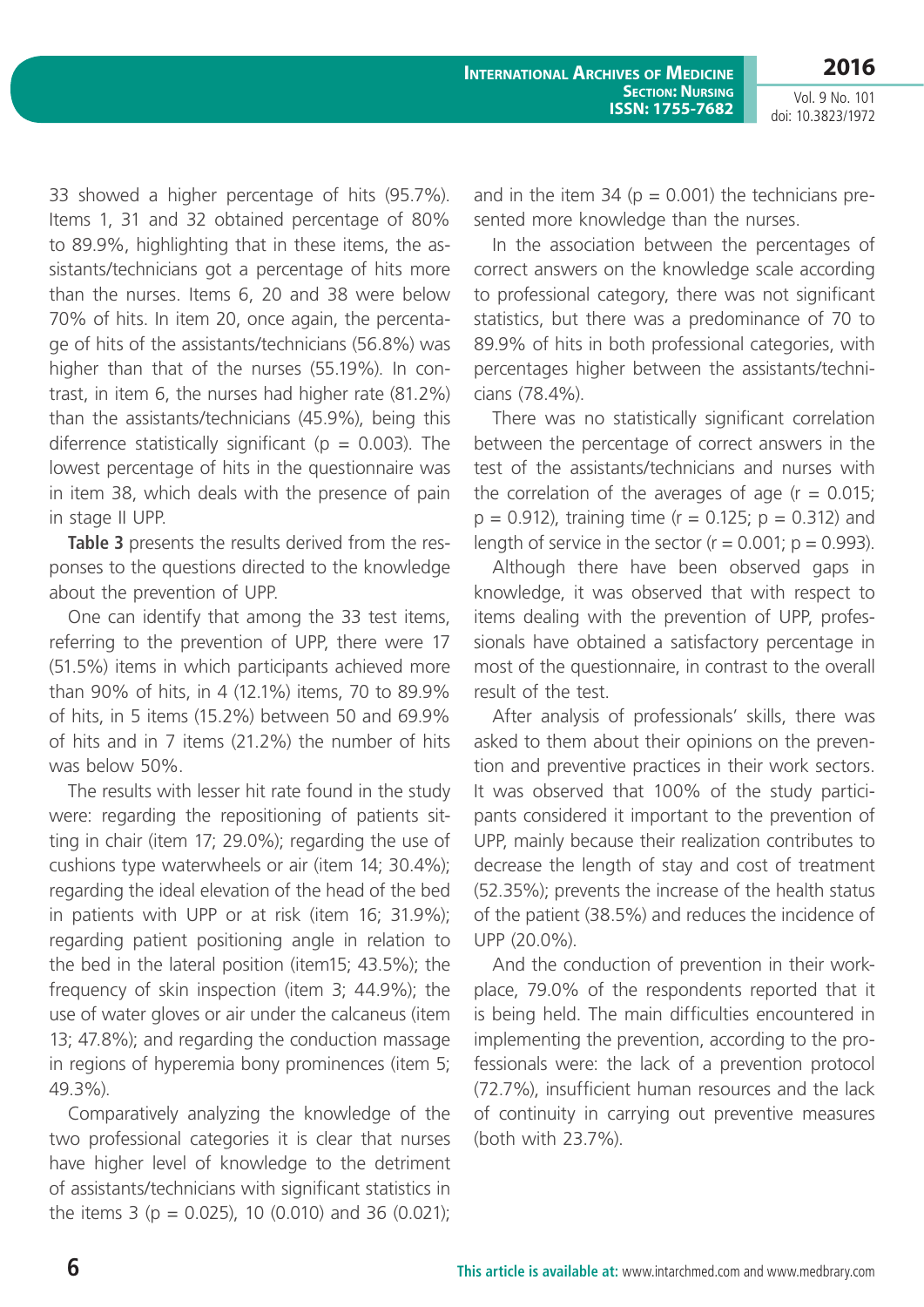**2016** Vol. 9 No. 101

doi: 10.3823/1972

33 showed a higher percentage of hits (95.7%). Items 1, 31 and 32 obtained percentage of 80% to 89.9%, highlighting that in these items, the assistants/technicians got a percentage of hits more than the nurses. Items 6, 20 and 38 were below 70% of hits. In item 20, once again, the percentage of hits of the assistants/technicians (56.8%) was higher than that of the nurses (55.19%). In contrast, in item 6, the nurses had higher rate (81.2%) than the assistants/technicians (45.9%), being this diferrence statistically significant ( $p = 0.003$ ). The lowest percentage of hits in the questionnaire was in item 38, which deals with the presence of pain in stage II UPP.

**Table 3** presents the results derived from the responses to the questions directed to the knowledge about the prevention of UPP.

One can identify that among the 33 test items, referring to the prevention of UPP, there were 17 (51.5%) items in which participants achieved more than 90% of hits, in 4 (12.1%) items, 70 to 89.9% of hits, in 5 items (15.2%) between 50 and 69.9% of hits and in 7 items (21.2%) the number of hits was below 50%.

The results with lesser hit rate found in the study were: regarding the repositioning of patients sitting in chair (item 17; 29.0%); regarding the use of cushions type waterwheels or air (item 14; 30.4%); regarding the ideal elevation of the head of the bed in patients with UPP or at risk (item 16; 31.9%); regarding patient positioning angle in relation to the bed in the lateral position (item15; 43.5%); the frequency of skin inspection (item 3; 44.9%); the use of water gloves or air under the calcaneus (item 13; 47.8%); and regarding the conduction massage in regions of hyperemia bony prominences (item 5; 49.3%).

Comparatively analyzing the knowledge of the two professional categories it is clear that nurses have higher level of knowledge to the detriment of assistants/technicians with significant statistics in the items 3 ( $p = 0.025$ ), 10 (0.010) and 36 (0.021); and in the item 34 ( $p = 0.001$ ) the technicians presented more knowledge than the nurses.

In the association between the percentages of correct answers on the knowledge scale according to professional category, there was not significant statistics, but there was a predominance of 70 to 89.9% of hits in both professional categories, with percentages higher between the assistants/technicians (78.4%).

There was no statistically significant correlation between the percentage of correct answers in the test of the assistants/technicians and nurses with the correlation of the averages of age  $(r = 0.015)$ ;  $p = 0.912$ ), training time ( $r = 0.125$ ;  $p = 0.312$ ) and length of service in the sector  $(r = 0.001; p = 0.993)$ .

Although there have been observed gaps in knowledge, it was observed that with respect to items dealing with the prevention of UPP, professionals have obtained a satisfactory percentage in most of the questionnaire, in contrast to the overall result of the test.

After analysis of professionals' skills, there was asked to them about their opinions on the prevention and preventive practices in their work sectors. It was observed that 100% of the study participants considered it important to the prevention of UPP, mainly because their realization contributes to decrease the length of stay and cost of treatment (52.35%); prevents the increase of the health status of the patient (38.5%) and reduces the incidence of UPP (20.0%).

And the conduction of prevention in their workplace, 79.0% of the respondents reported that it is being held. The main difficulties encountered in implementing the prevention, according to the professionals were: the lack of a prevention protocol (72.7%), insufficient human resources and the lack of continuity in carrying out preventive measures (both with 23.7%).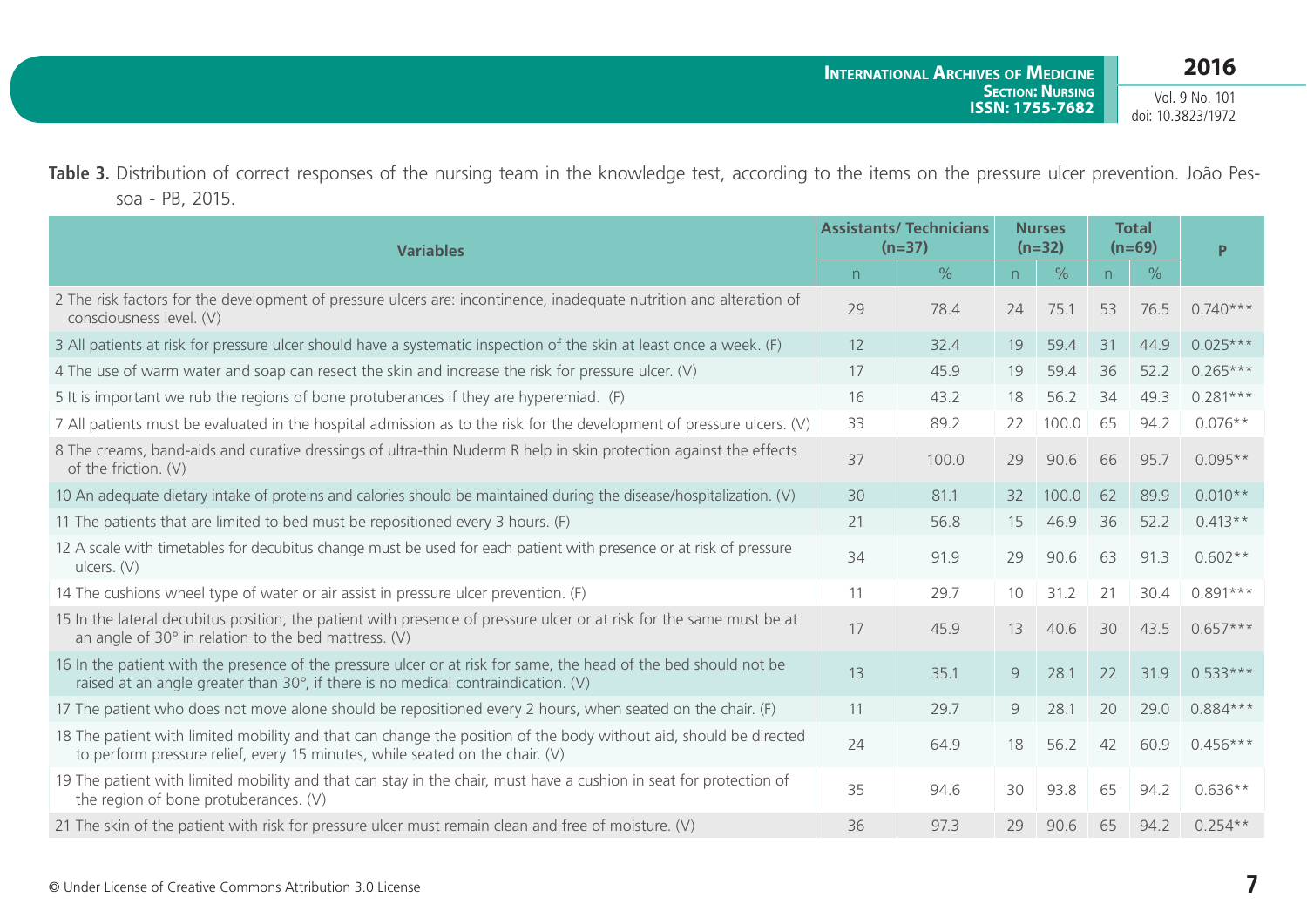**2016** Vol. 9 No. 101

doi: 10.3823/1972

Table 3. Distribution of correct responses of the nursing team in the knowledge test, according to the items on the pressure ulcer prevention. João Pessoa - PB, 2015.

| <b>Variables</b>                                                                                                                                                                                                |    | <b>Assistants/ Technicians</b><br>$(n=37)$ |    | <b>Nurses</b><br>$(n=32)$ | <b>Total</b><br>$(n=69)$ |      | P          |  |
|-----------------------------------------------------------------------------------------------------------------------------------------------------------------------------------------------------------------|----|--------------------------------------------|----|---------------------------|--------------------------|------|------------|--|
|                                                                                                                                                                                                                 | n  | $\frac{0}{0}$                              | n  | $\frac{0}{0}$             | n                        | $\%$ |            |  |
| 2 The risk factors for the development of pressure ulcers are: incontinence, inadequate nutrition and alteration of<br>consciousness level. (V)                                                                 | 29 | 78.4                                       | 24 | 75.1                      | 53                       | 76.5 | $0.740***$ |  |
| 3 All patients at risk for pressure ulcer should have a systematic inspection of the skin at least once a week. (F)                                                                                             | 12 | 32.4                                       | 19 | 59.4                      | 31                       | 44.9 | $0.025***$ |  |
| 4 The use of warm water and soap can resect the skin and increase the risk for pressure ulcer. (V)                                                                                                              | 17 | 45.9                                       | 19 | 59.4                      | 36                       | 52.2 | $0.265***$ |  |
| 5 It is important we rub the regions of bone protuberances if they are hyperemiad. (F)                                                                                                                          | 16 | 43.2                                       | 18 | 56.2                      | 34                       | 49.3 | $0.281***$ |  |
| 7 All patients must be evaluated in the hospital admission as to the risk for the development of pressure ulcers. (V)                                                                                           | 33 | 89.2                                       | 22 | 100.0                     | 65                       | 94.2 | $0.076**$  |  |
| 8 The creams, band-aids and curative dressings of ultra-thin Nuderm R help in skin protection against the effects<br>of the friction. (V)                                                                       | 37 | 100.0                                      | 29 | 90.6                      | 66                       | 95.7 | $0.095**$  |  |
| 10 An adequate dietary intake of proteins and calories should be maintained during the disease/hospitalization. (V)                                                                                             | 30 | 81.1                                       | 32 | 100.0                     | 62                       | 89.9 | $0.010**$  |  |
| 11 The patients that are limited to bed must be repositioned every 3 hours. (F)                                                                                                                                 | 21 | 56.8                                       | 15 | 46.9                      | 36                       | 52.2 | $0.413**$  |  |
| 12 A scale with timetables for decubitus change must be used for each patient with presence or at risk of pressure<br>ulcers. $(V)$                                                                             | 34 | 91.9                                       | 29 | 90.6                      | 63                       | 91.3 | $0.602**$  |  |
| 14 The cushions wheel type of water or air assist in pressure ulcer prevention. (F)                                                                                                                             | 11 | 29.7                                       | 10 | 31.2                      | 21                       | 30.4 | $0.891***$ |  |
| 15 In the lateral decubitus position, the patient with presence of pressure ulcer or at risk for the same must be at<br>an angle of $30^\circ$ in relation to the bed mattress. (V)                             | 17 | 45.9                                       | 13 | 40.6                      | 30                       | 43.5 | $0.657***$ |  |
| 16 In the patient with the presence of the pressure ulcer or at risk for same, the head of the bed should not be<br>raised at an angle greater than $30^{\circ}$ , if there is no medical contraindication. (V) | 13 | 35.1                                       | 9  | 28.1                      | 22                       | 31.9 | $0.533***$ |  |
| 17 The patient who does not move alone should be repositioned every 2 hours, when seated on the chair. (F)                                                                                                      | 11 | 29.7                                       | 9  | 28.1                      | 20                       | 29.0 | $0.884***$ |  |
| 18 The patient with limited mobility and that can change the position of the body without aid, should be directed<br>to perform pressure relief, every 15 minutes, while seated on the chair. (V)               | 24 | 64.9                                       | 18 | 56.2                      | 42                       | 60.9 | $0.456***$ |  |
| 19 The patient with limited mobility and that can stay in the chair, must have a cushion in seat for protection of<br>the region of bone protuberances. (V)                                                     | 35 | 94.6                                       | 30 | 93.8                      | 65                       | 94.2 | $0.636**$  |  |
| 21 The skin of the patient with risk for pressure ulcer must remain clean and free of moisture. (V)                                                                                                             | 36 | 97.3                                       | 29 | 90.6                      | 65                       | 94.2 | $0.254**$  |  |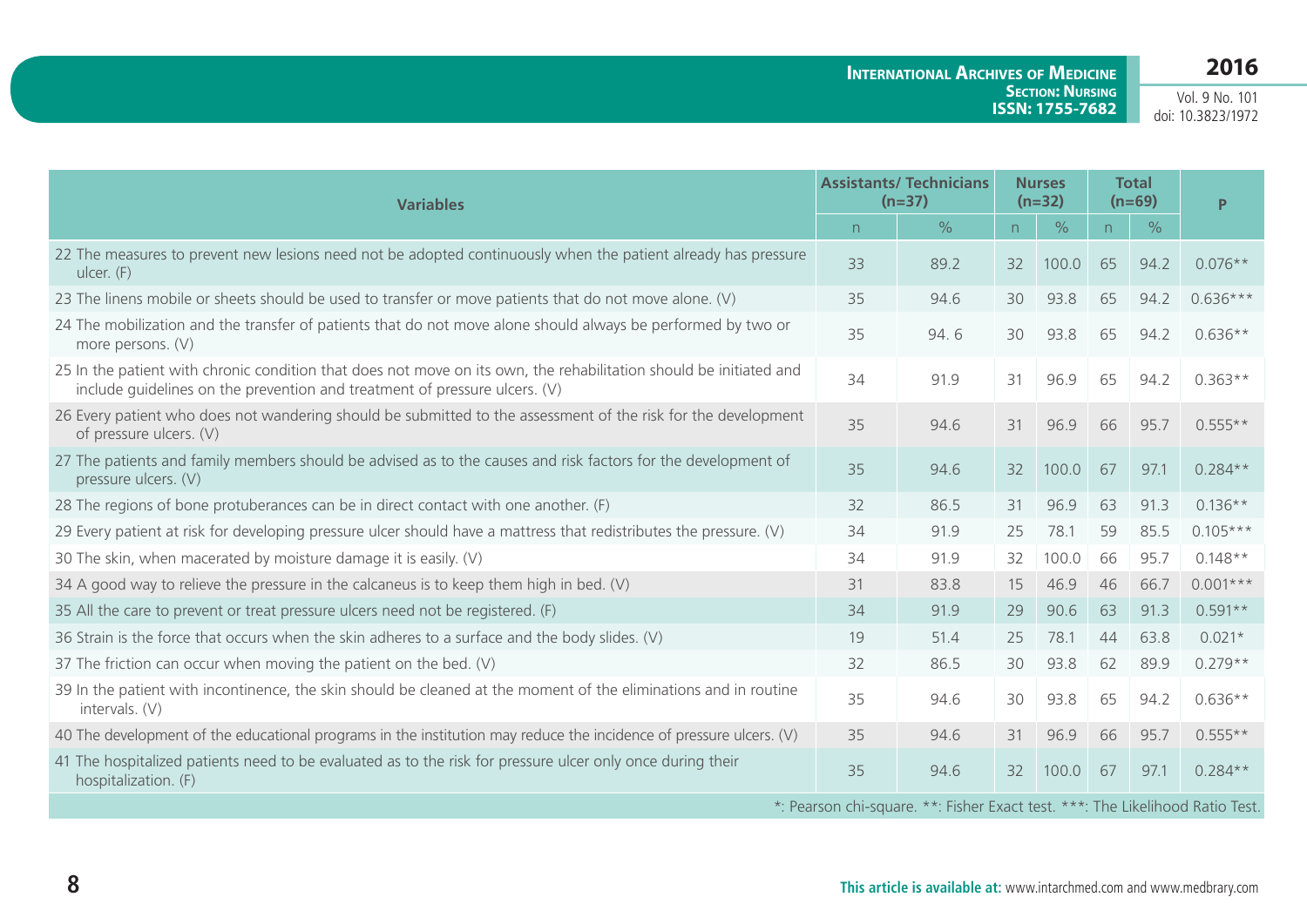**International Archives of Medicine Section: Nursing ISSN: 1755-7682**

Vol. 9 No. 101 doi: 10.3823/1972

| <b>Variables</b>                                                                                                                                                                                 |    | <b>Assistants/ Technicians</b><br>$(n=37)$                                    | <b>Nurses</b><br>$(n=32)$ |               | <b>Total</b><br>$(n=69)$ |               | P.         |
|--------------------------------------------------------------------------------------------------------------------------------------------------------------------------------------------------|----|-------------------------------------------------------------------------------|---------------------------|---------------|--------------------------|---------------|------------|
|                                                                                                                                                                                                  | n  | $\frac{0}{0}$                                                                 | n                         | $\frac{0}{0}$ | n                        | $\frac{0}{0}$ |            |
| 22 The measures to prevent new lesions need not be adopted continuously when the patient already has pressure<br>ulcer. (F)                                                                      | 33 | 89.2                                                                          | 32                        | 100.0         | 65                       | 94.2          | $0.076**$  |
| 23 The linens mobile or sheets should be used to transfer or move patients that do not move alone. (V)                                                                                           | 35 | 94.6                                                                          | 30                        | 93.8          | 65                       | 94.2          | $0.636***$ |
| 24 The mobilization and the transfer of patients that do not move alone should always be performed by two or<br>more persons. (V)                                                                | 35 | 94.6                                                                          | 30                        | 93.8          | 65                       | 94.2          | $0.636**$  |
| 25 In the patient with chronic condition that does not move on its own, the rehabilitation should be initiated and<br>include quidelines on the prevention and treatment of pressure ulcers. (V) | 34 | 91.9                                                                          | 31                        | 96.9          | 65                       | 94.2          | $0.363**$  |
| 26 Every patient who does not wandering should be submitted to the assessment of the risk for the development<br>of pressure ulcers. (V)                                                         | 35 | 94.6                                                                          | 31                        | 96.9          | 66                       | 95.7          | $0.555**$  |
| 27 The patients and family members should be advised as to the causes and risk factors for the development of<br>pressure ulcers. (V)                                                            | 35 | 94.6                                                                          | 32                        | 100.0         | 67                       | 97.1          | $0.284**$  |
| 28 The regions of bone protuberances can be in direct contact with one another. (F)                                                                                                              | 32 | 86.5                                                                          | 31                        | 96.9          | 63                       | 91.3          | $0.136**$  |
| 29 Every patient at risk for developing pressure ulcer should have a mattress that redistributes the pressure. (V)                                                                               | 34 | 91.9                                                                          | 25                        | 78.1          | 59                       | 85.5          | $0.105***$ |
| 30 The skin, when macerated by moisture damage it is easily. (V)                                                                                                                                 | 34 | 91.9                                                                          | 32                        | 100.0         | 66                       | 95.7          | $0.148**$  |
| 34 A good way to relieve the pressure in the calcaneus is to keep them high in bed. (V)                                                                                                          | 31 | 83.8                                                                          | 15                        | 46.9          | 46                       | 66.7          | $0.001***$ |
| 35 All the care to prevent or treat pressure ulcers need not be registered. (F)                                                                                                                  | 34 | 91.9                                                                          | 29                        | 90.6          | 63                       | 91.3          | $0.591**$  |
| 36 Strain is the force that occurs when the skin adheres to a surface and the body slides. (V)                                                                                                   | 19 | 51.4                                                                          | 25                        | 78.1          | 44                       | 63.8          | $0.021*$   |
| 37 The friction can occur when moving the patient on the bed. $(V)$                                                                                                                              | 32 | 86.5                                                                          | 30                        | 93.8          | 62                       | 89.9          | $0.279**$  |
| 39 In the patient with incontinence, the skin should be cleaned at the moment of the eliminations and in routine<br>intervals. (V)                                                               | 35 | 94.6                                                                          | 30                        | 93.8          | 65                       | 94.2          | $0.636**$  |
| 40 The development of the educational programs in the institution may reduce the incidence of pressure ulcers. (V)                                                                               | 35 | 94.6                                                                          | 31                        | 96.9          | 66                       | 95.7          | $0.555**$  |
| 41 The hospitalized patients need to be evaluated as to the risk for pressure ulcer only once during their<br>hospitalization. (F)                                                               | 35 | 94.6                                                                          | 32                        | 100.0         | 67                       | 97.1          | $0.284**$  |
|                                                                                                                                                                                                  |    | *: Pearson chi-square. **: Fisher Exact test. ***: The Likelihood Ratio Test. |                           |               |                          |               |            |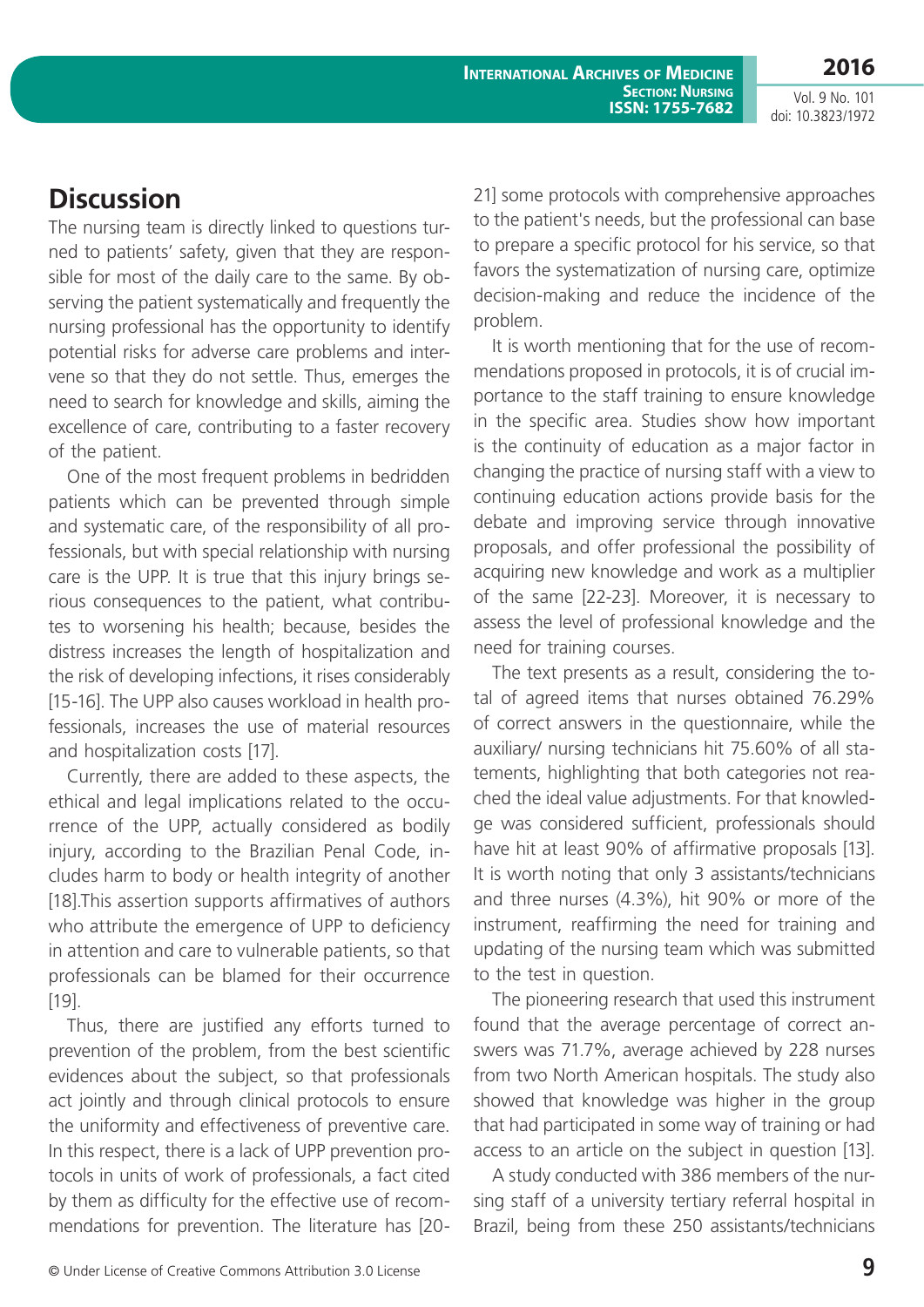**International Archives of Medicine SECTION: NURSING ISSN: 1755-7682**

Vol. 9 No. 101 doi: 10.3823/1972

# **Discussion**

The nursing team is directly linked to questions turned to patients' safety, given that they are responsible for most of the daily care to the same. By observing the patient systematically and frequently the nursing professional has the opportunity to identify potential risks for adverse care problems and intervene so that they do not settle. Thus, emerges the need to search for knowledge and skills, aiming the excellence of care, contributing to a faster recovery of the patient.

One of the most frequent problems in bedridden patients which can be prevented through simple and systematic care, of the responsibility of all professionals, but with special relationship with nursing care is the UPP. It is true that this injury brings serious consequences to the patient, what contributes to worsening his health; because, besides the distress increases the length of hospitalization and the risk of developing infections, it rises considerably [15-16]. The UPP also causes workload in health professionals, increases the use of material resources and hospitalization costs [17].

Currently, there are added to these aspects, the ethical and legal implications related to the occurrence of the UPP, actually considered as bodily injury, according to the Brazilian Penal Code, includes harm to body or health integrity of another [18]. This assertion supports affirmatives of authors who attribute the emergence of UPP to deficiency in attention and care to vulnerable patients, so that professionals can be blamed for their occurrence [19].

Thus, there are justified any efforts turned to prevention of the problem, from the best scientific evidences about the subject, so that professionals act jointly and through clinical protocols to ensure the uniformity and effectiveness of preventive care. In this respect, there is a lack of UPP prevention protocols in units of work of professionals, a fact cited by them as difficulty for the effective use of recommendations for prevention. The literature has [2021] some protocols with comprehensive approaches to the patient's needs, but the professional can base to prepare a specific protocol for his service, so that favors the systematization of nursing care, optimize decision-making and reduce the incidence of the problem.

It is worth mentioning that for the use of recommendations proposed in protocols, it is of crucial importance to the staff training to ensure knowledge in the specific area. Studies show how important is the continuity of education as a major factor in changing the practice of nursing staff with a view to continuing education actions provide basis for the debate and improving service through innovative proposals, and offer professional the possibility of acquiring new knowledge and work as a multiplier of the same [22-23]. Moreover, it is necessary to assess the level of professional knowledge and the need for training courses.

The text presents as a result, considering the total of agreed items that nurses obtained 76.29% of correct answers in the questionnaire, while the auxiliary/ nursing technicians hit 75.60% of all statements, highlighting that both categories not reached the ideal value adjustments. For that knowledge was considered sufficient, professionals should have hit at least 90% of affirmative proposals [13]. It is worth noting that only 3 assistants/technicians and three nurses (4.3%), hit 90% or more of the instrument, reaffirming the need for training and updating of the nursing team which was submitted to the test in question.

The pioneering research that used this instrument found that the average percentage of correct answers was 71.7%, average achieved by 228 nurses from two North American hospitals. The study also showed that knowledge was higher in the group that had participated in some way of training or had access to an article on the subject in question [13].

A study conducted with 386 members of the nursing staff of a university tertiary referral hospital in Brazil, being from these 250 assistants/technicians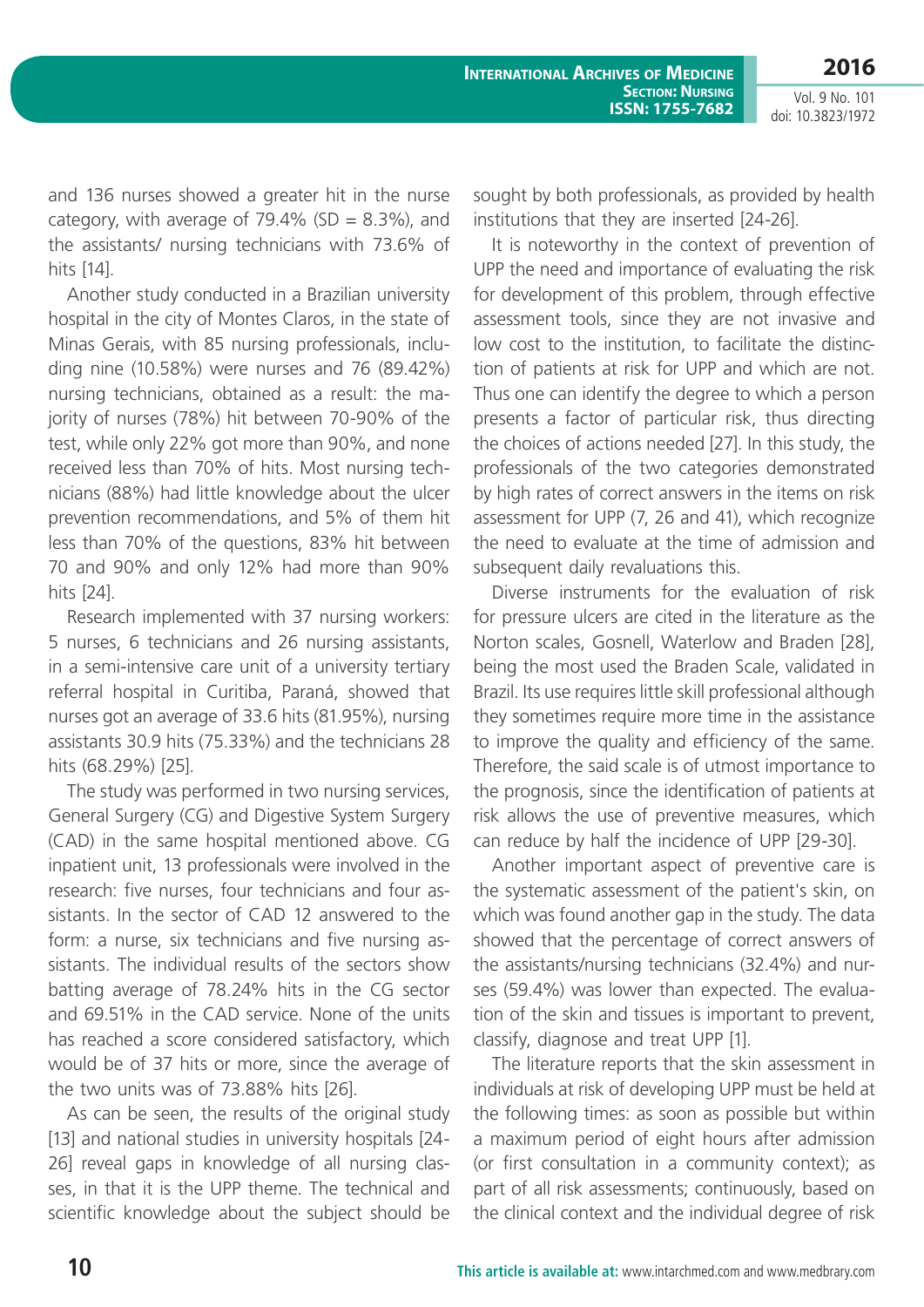Vol. 9 No. 101 doi: 10.3823/1972

and 136 nurses showed a greater hit in the nurse category, with average of  $79.4\%$  (SD = 8.3%), and the assistants/ nursing technicians with 73.6% of hits [14].

Another study conducted in a Brazilian university hospital in the city of Montes Claros, in the state of Minas Gerais, with 85 nursing professionals, including nine (10.58%) were nurses and 76 (89.42%) nursing technicians, obtained as a result: the majority of nurses (78%) hit between 70-90% of the test, while only 22% got more than 90%, and none received less than 70% of hits. Most nursing technicians (88%) had little knowledge about the ulcer prevention recommendations, and 5% of them hit less than 70% of the questions, 83% hit between 70 and 90% and only 12% had more than 90% hits [24].

Research implemented with 37 nursing workers: 5 nurses, 6 technicians and 26 nursing assistants, in a semi-intensive care unit of a university tertiary referral hospital in Curitiba, Paraná, showed that nurses got an average of 33.6 hits (81.95%), nursing assistants 30.9 hits (75.33%) and the technicians 28 hits (68.29%) [25].

The study was performed in two nursing services, General Surgery (CG) and Digestive System Surgery (CAD) in the same hospital mentioned above. CG inpatient unit, 13 professionals were involved in the research: five nurses, four technicians and four assistants. In the sector of CAD 12 answered to the form: a nurse, six technicians and five nursing assistants. The individual results of the sectors show batting average of 78.24% hits in the CG sector and 69.51% in the CAD service. None of the units has reached a score considered satisfactory, which would be of 37 hits or more, since the average of the two units was of 73.88% hits [26].

As can be seen, the results of the original study [13] and national studies in university hospitals [24-26] reveal gaps in knowledge of all nursing classes, in that it is the UPP theme. The technical and scientific knowledge about the subject should be sought by both professionals, as provided by health institutions that they are inserted [24-26].

It is noteworthy in the context of prevention of UPP the need and importance of evaluating the risk for development of this problem, through effective assessment tools, since they are not invasive and low cost to the institution, to facilitate the distinction of patients at risk for UPP and which are not. Thus one can identify the degree to which a person presents a factor of particular risk, thus directing the choices of actions needed [27]. In this study, the professionals of the two categories demonstrated by high rates of correct answers in the items on risk assessment for UPP (7, 26 and 41), which recognize the need to evaluate at the time of admission and subsequent daily revaluations this.

Diverse instruments for the evaluation of risk for pressure ulcers are cited in the literature as the Norton scales, Gosnell, Waterlow and Braden [28], being the most used the Braden Scale, validated in Brazil. Its use requires little skill professional although they sometimes require more time in the assistance to improve the quality and efficiency of the same. Therefore, the said scale is of utmost importance to the prognosis, since the identification of patients at risk allows the use of preventive measures, which can reduce by half the incidence of UPP [29-30].

Another important aspect of preventive care is the systematic assessment of the patient's skin, on which was found another gap in the study. The data showed that the percentage of correct answers of the assistants/nursing technicians (32.4%) and nurses (59.4%) was lower than expected. The evaluation of the skin and tissues is important to prevent, classify, diagnose and treat UPP [1].

The literature reports that the skin assessment in individuals at risk of developing UPP must be held at the following times: as soon as possible but within a maximum period of eight hours after admission (or first consultation in a community context); as part of all risk assessments; continuously, based on the clinical context and the individual degree of risk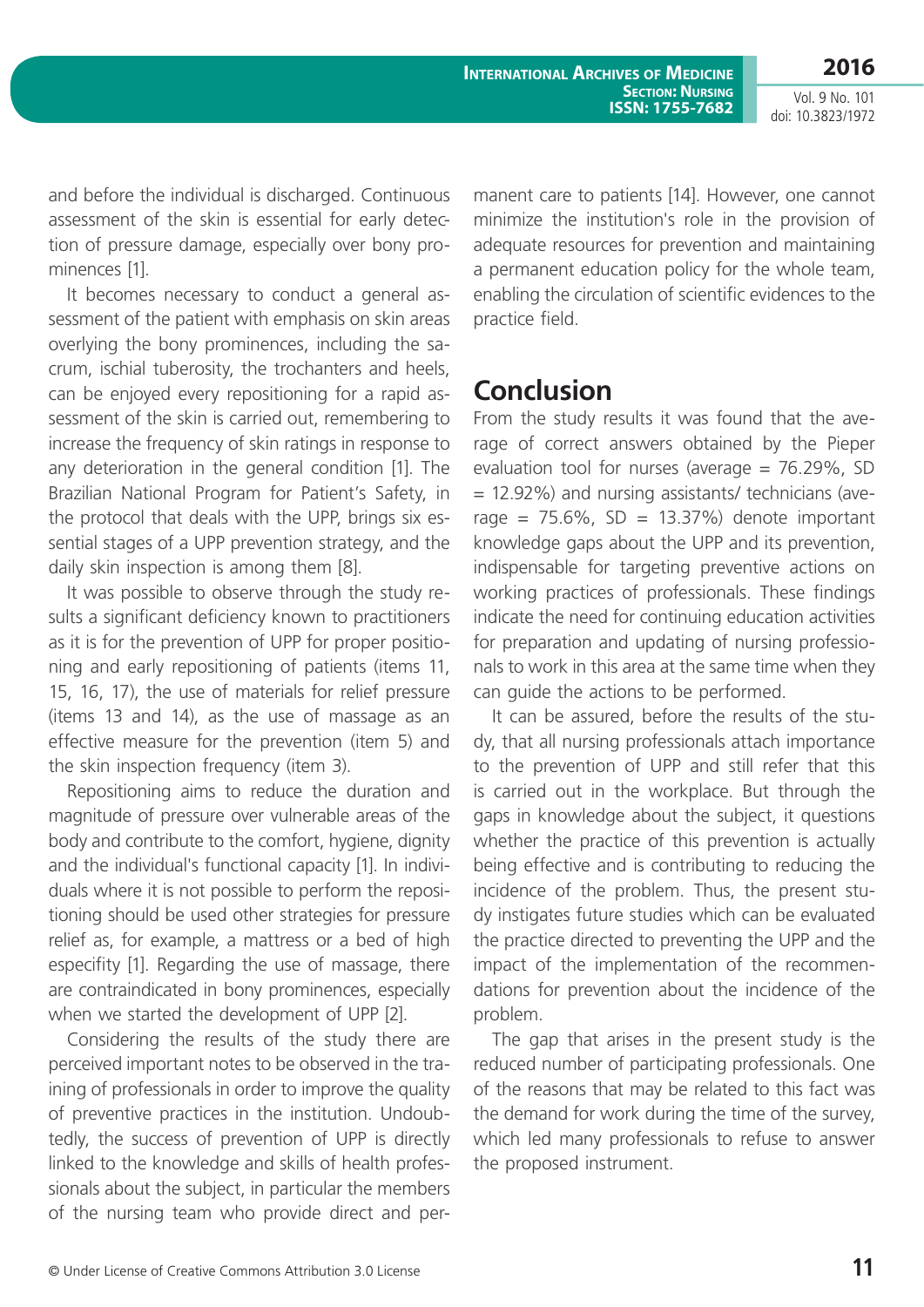**International Archives of Medicine SECTION: NURSING ISSN: 1755-7682**

Vol. 9 No. 101 doi: 10.3823/1972

and before the individual is discharged. Continuous assessment of the skin is essential for early detection of pressure damage, especially over bony prominences [1].

It becomes necessary to conduct a general assessment of the patient with emphasis on skin areas overlying the bony prominences, including the sacrum, ischial tuberosity, the trochanters and heels, can be enjoyed every repositioning for a rapid assessment of the skin is carried out, remembering to increase the frequency of skin ratings in response to any deterioration in the general condition [1]. The Brazilian National Program for Patient's Safety, in the protocol that deals with the UPP, brings six essential stages of a UPP prevention strategy, and the daily skin inspection is among them [8].

It was possible to observe through the study results a significant deficiency known to practitioners as it is for the prevention of UPP for proper positioning and early repositioning of patients (items 11, 15, 16, 17), the use of materials for relief pressure (items 13 and 14), as the use of massage as an effective measure for the prevention (item 5) and the skin inspection frequency (item 3).

Repositioning aims to reduce the duration and magnitude of pressure over vulnerable areas of the body and contribute to the comfort, hygiene, dignity and the individual's functional capacity [1]. In individuals where it is not possible to perform the repositioning should be used other strategies for pressure relief as, for example, a mattress or a bed of high especifity [1]. Regarding the use of massage, there are contraindicated in bony prominences, especially when we started the development of UPP [2].

Considering the results of the study there are perceived important notes to be observed in the training of professionals in order to improve the quality of preventive practices in the institution. Undoubtedly, the success of prevention of UPP is directly linked to the knowledge and skills of health professionals about the subject, in particular the members of the nursing team who provide direct and permanent care to patients [14]. However, one cannot minimize the institution's role in the provision of adequate resources for prevention and maintaining a permanent education policy for the whole team, enabling the circulation of scientific evidences to the practice field.

#### **Conclusion**

From the study results it was found that the average of correct answers obtained by the Pieper evaluation tool for nurses (average  $= 76.29\%$ , SD = 12.92%) and nursing assistants/ technicians (average =  $75.6\%$ , SD =  $13.37\%$ ) denote important knowledge gaps about the UPP and its prevention, indispensable for targeting preventive actions on working practices of professionals. These findings indicate the need for continuing education activities for preparation and updating of nursing professionals to work in this area at the same time when they can guide the actions to be performed.

It can be assured, before the results of the study, that all nursing professionals attach importance to the prevention of UPP and still refer that this is carried out in the workplace. But through the gaps in knowledge about the subject, it questions whether the practice of this prevention is actually being effective and is contributing to reducing the incidence of the problem. Thus, the present study instigates future studies which can be evaluated the practice directed to preventing the UPP and the impact of the implementation of the recommendations for prevention about the incidence of the problem.

The gap that arises in the present study is the reduced number of participating professionals. One of the reasons that may be related to this fact was the demand for work during the time of the survey, which led many professionals to refuse to answer the proposed instrument.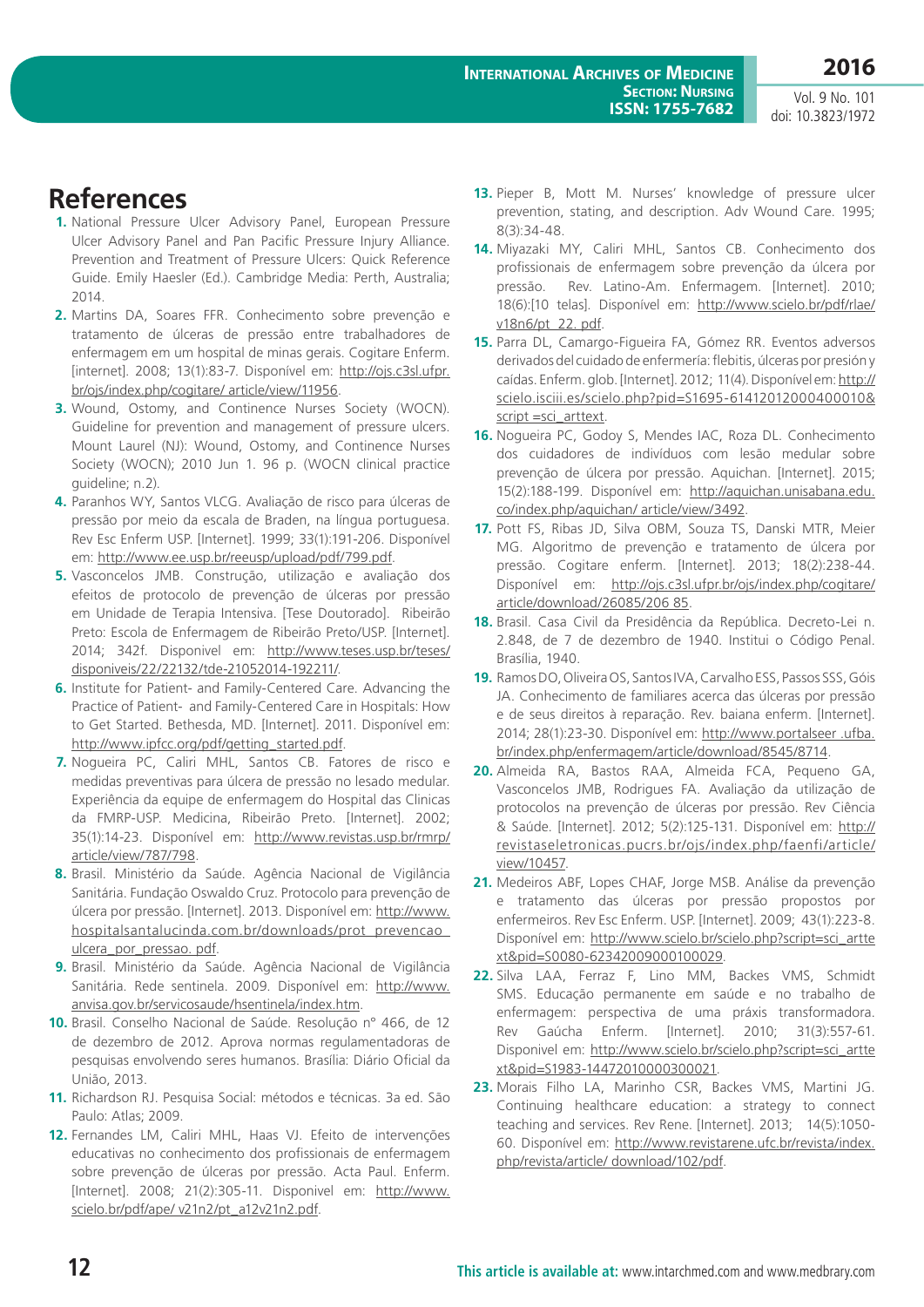Vol. 9 No. 101 doi: 10.3823/1972

### **References**

- **1.** National Pressure Ulcer Advisory Panel, European Pressure Ulcer Advisory Panel and Pan Pacific Pressure Injury Alliance. Prevention and Treatment of Pressure Ulcers: Quick Reference Guide. Emily Haesler (Ed.). Cambridge Media: Perth, Australia; 2014.
- **2.** Martins DA, Soares FFR. Conhecimento sobre prevenção e tratamento de úlceras de pressão entre trabalhadores de enfermagem em um hospital de minas gerais. Cogitare Enferm. [internet]. 2008; 13(1):83-7. Disponível em: [http://ojs.c3sl.ufpr.](http://ojs.c3sl.ufpr.br/ojs/index.php/cogitare/ article/view/11956) [br/ojs/index.php/cogitare/ article/view/11956.](http://ojs.c3sl.ufpr.br/ojs/index.php/cogitare/ article/view/11956)
- **3.** Wound, Ostomy, and Continence Nurses Society (WOCN). Guideline for prevention and management of pressure ulcers. Mount Laurel (NJ): Wound, Ostomy, and Continence Nurses Society (WOCN); 2010 Jun 1. 96 p. (WOCN clinical practice guideline; n.2).
- **4.** Paranhos WY, Santos VLCG. Avaliação de risco para úlceras de pressão por meio da escala de Braden, na língua portuguesa. Rev Esc Enferm USP. [Internet]. 1999; 33(1):191-206. Disponível em:<http://www.ee.usp.br/reeusp/upload/pdf/799.pdf>.
- **5.** Vasconcelos JMB. Construção, utilização e avaliação dos efeitos de protocolo de prevenção de úlceras por pressão em Unidade de Terapia Intensiva. [Tese Doutorado]. Ribeirão Preto: Escola de Enfermagem de Ribeirão Preto/USP. [Internet]. 2014; 342f. Disponivel em: [http://www.teses.usp.br/teses/](http://www.teses.usp.br/teses/disponiveis/22/22132/tde-21052014-192211/) [disponiveis/22/22132/tde-21052014-192211/](http://www.teses.usp.br/teses/disponiveis/22/22132/tde-21052014-192211/).
- **6.** Institute for Patient- and Family-Centered Care. Advancing the Practice of Patient- and Family-Centered Care in Hospitals: How to Get Started. Bethesda, MD. [Internet]. 2011. Disponível em: [http://www.ipfcc.org/pdf/getting\\_started.pdf.](http://www.ipfcc.org/pdf/getting_started.pdf)
- **7.** Nogueira PC, Caliri MHL, Santos CB. Fatores de risco e medidas preventivas para úlcera de pressão no lesado medular. Experiência da equipe de enfermagem do Hospital das Clinicas da FMRP-USP. Medicina, Ribeirão Preto. [Internet]. 2002; 35(1):14-23. Disponível em: [http://www.revistas.usp.br/rmrp/](http://www.revistas.usp.br/rmrp/article/view/787/798) [article/view/787/798.](http://www.revistas.usp.br/rmrp/article/view/787/798)
- **8.** Brasil. Ministério da Saúde. Agência Nacional de Vigilância Sanitária. Fundação Oswaldo Cruz. Protocolo para prevenção de úlcera por pressão. [Internet]. 2013. Disponível em: [http://www.](http://www.hospitalsantalucinda.com.br/downloads/prot_prevencao_ulcera_por_pressao. pdf) [hospitalsantalucinda.com.br/downloads/prot\\_prevencao\\_](http://www.hospitalsantalucinda.com.br/downloads/prot_prevencao_ulcera_por_pressao. pdf) [ulcera\\_por\\_pressao. pdf](http://www.hospitalsantalucinda.com.br/downloads/prot_prevencao_ulcera_por_pressao. pdf).
- **9.** Brasil. Ministério da Saúde. Agência Nacional de Vigilância Sanitária. Rede sentinela. 2009. Disponível em: [http://www.](http://www.anvisa.gov.br/servicosaude/hsentinela/index.htm) [anvisa.gov.br/servicosaude/hsentinela/index.htm.](http://www.anvisa.gov.br/servicosaude/hsentinela/index.htm)
- **10.** Brasil. Conselho Nacional de Saúde. Resolução n° 466, de 12 de dezembro de 2012. Aprova normas regulamentadoras de pesquisas envolvendo seres humanos. Brasília: Diário Oficial da União, 2013.
- **11.** Richardson RJ. Pesquisa Social: métodos e técnicas. 3a ed. São Paulo: Atlas; 2009.
- **12.** Fernandes LM, Caliri MHL, Haas VJ. Efeito de intervenções educativas no conhecimento dos profissionais de enfermagem sobre prevenção de úlceras por pressão. Acta Paul. Enferm. [Internet]. 2008; 21(2):305-11. Disponivel em: [http://www.](http://www.scielo.br/pdf/ape/ v21n2/pt_a12v21n2.pdf) [scielo.br/pdf/ape/ v21n2/pt\\_a12v21n2.pdf.](http://www.scielo.br/pdf/ape/ v21n2/pt_a12v21n2.pdf)
- **13.** Pieper B, Mott M. Nurses' knowledge of pressure ulcer prevention, stating, and description. Adv Wound Care. 1995; 8(3):34-48.
- **14.** Miyazaki MY, Caliri MHL, Santos CB. Conhecimento dos profissionais de enfermagem sobre prevenção da úlcera por pressão. Rev. Latino-Am. Enfermagem. [Internet]. 2010; 18(6):[10 telas]. Disponível em: [http://www.scielo.br/pdf/rlae/](http://www.scielo.br/pdf/rlae/v18n6/pt_22. pdf) [v18n6/pt\\_22. pdf](http://www.scielo.br/pdf/rlae/v18n6/pt_22. pdf).
- **15.** Parra DL, Camargo-Figueira FA, Gómez RR. Eventos adversos derivados del cuidado de enfermería: flebitis, úlceras por presión y caídas. Enferm. glob. [Internet]. 2012; 11(4). Disponível em: [http://](http://scielo.isciii.es/scielo.php?pid=S1695-61412012000400010& script =sci_arttext) [scielo.isciii.es/scielo.php?pid=S1695-61412012000400010&](http://scielo.isciii.es/scielo.php?pid=S1695-61412012000400010& script =sci_arttext) [script =sci\\_arttext](http://scielo.isciii.es/scielo.php?pid=S1695-61412012000400010& script =sci_arttext).
- **16.** Nogueira PC, Godoy S, Mendes IAC, Roza DL. Conhecimento dos cuidadores de indivíduos com lesão medular sobre prevenção de úlcera por pressão. Aquichan. [Internet]. 2015; 15(2):188-199. Disponível em: [http://aquichan.unisabana.edu.](http://aquichan.unisabana.edu.co/index.php/aquichan/ article/view/3492) [co/index.php/aquichan/ article/view/3492.](http://aquichan.unisabana.edu.co/index.php/aquichan/ article/view/3492)
- **17.** Pott FS, Ribas JD, Silva OBM, Souza TS, Danski MTR, Meier MG. Algoritmo de prevenção e tratamento de úlcera por pressão. Cogitare enferm. [Internet]. 2013; 18(2):238-44. Disponível em: [http://ojs.c3sl.ufpr.br/ojs/index.php/cogitare/](http://ojs.c3sl.ufpr.br/ojs/index.php/cogitare/article/download/26085/206 85) [article/download/26085/206 85.](http://ojs.c3sl.ufpr.br/ojs/index.php/cogitare/article/download/26085/206 85)
- **18.** Brasil. Casa Civil da Presidência da República. Decreto-Lei n. 2.848, de 7 de dezembro de 1940. Institui o Código Penal. Brasília, 1940.
- **19.** Ramos DO, Oliveira OS, Santos IVA, Carvalho ESS, Passos SSS, Góis JA. Conhecimento de familiares acerca das úlceras por pressão e de seus direitos à reparação. Rev. baiana enferm. [Internet]. 2014; 28(1):23-30. Disponível em: [http://www.portalseer .ufba.](http://www.portalseer .ufba.br/index.php/enfermagem/article/download/8545/8714) [br/index.php/enfermagem/article/download/8545/8714](http://www.portalseer .ufba.br/index.php/enfermagem/article/download/8545/8714).
- **20.** Almeida RA, Bastos RAA, Almeida FCA, Pequeno GA, Vasconcelos JMB, Rodrigues FA. Avaliação da utilização de protocolos na prevenção de úlceras por pressão. Rev Ciência & Saúde. [Internet]. 2012; 5(2):125-131. Disponível em: [http://](http:// revistaseletronicas.pucrs.br/ojs/index.php/faenfi/article/view/10457) [revistaseletronicas.pucrs.br/ojs/index.php/faenfi/article/](http:// revistaseletronicas.pucrs.br/ojs/index.php/faenfi/article/view/10457) [view/10457](http:// revistaseletronicas.pucrs.br/ojs/index.php/faenfi/article/view/10457).
- **21.** Medeiros ABF, Lopes CHAF, Jorge MSB. Análise da prevenção e tratamento das úlceras por pressão propostos por enfermeiros. Rev Esc Enferm. USP. [Internet]. 2009; 43(1):223-8. Disponível em: [http://www.scielo.br/scielo.php?script=sci\\_artte](http://www.scielo.br/scielo.php?script=sci_arttext&pid=S0080-62342009000100029) [xt&pid=S0080-62342009000100029.](http://www.scielo.br/scielo.php?script=sci_arttext&pid=S0080-62342009000100029)
- **22.** Silva LAA, Ferraz F, Lino MM, Backes VMS, Schmidt SMS. Educação permanente em saúde e no trabalho de enfermagem: perspectiva de uma práxis transformadora. Rev Gaúcha Enferm. [Internet]. 2010; 31(3):557-61. Disponivel em: [http://www.scielo.br/scielo.php?script=sci\\_artte](http://www.scielo.br/scielo.php?script=sci_arttext&pid=S1983-14472010000300021) [xt&pid=S1983-14472010000300021.](http://www.scielo.br/scielo.php?script=sci_arttext&pid=S1983-14472010000300021)
- **23.** Morais Filho LA, Marinho CSR, Backes VMS, Martini JG. Continuing healthcare education: a strategy to connect teaching and services. Rev Rene. [Internet]. 2013; 14(5):1050- 60. Disponível em: [http://www.revistarene.ufc.br/revista/index.](http://www.revistarene.ufc.br/revista/index.php/revista/article/ download/102/pdf) [php/revista/article/ download/102/pdf.](http://www.revistarene.ufc.br/revista/index.php/revista/article/ download/102/pdf)